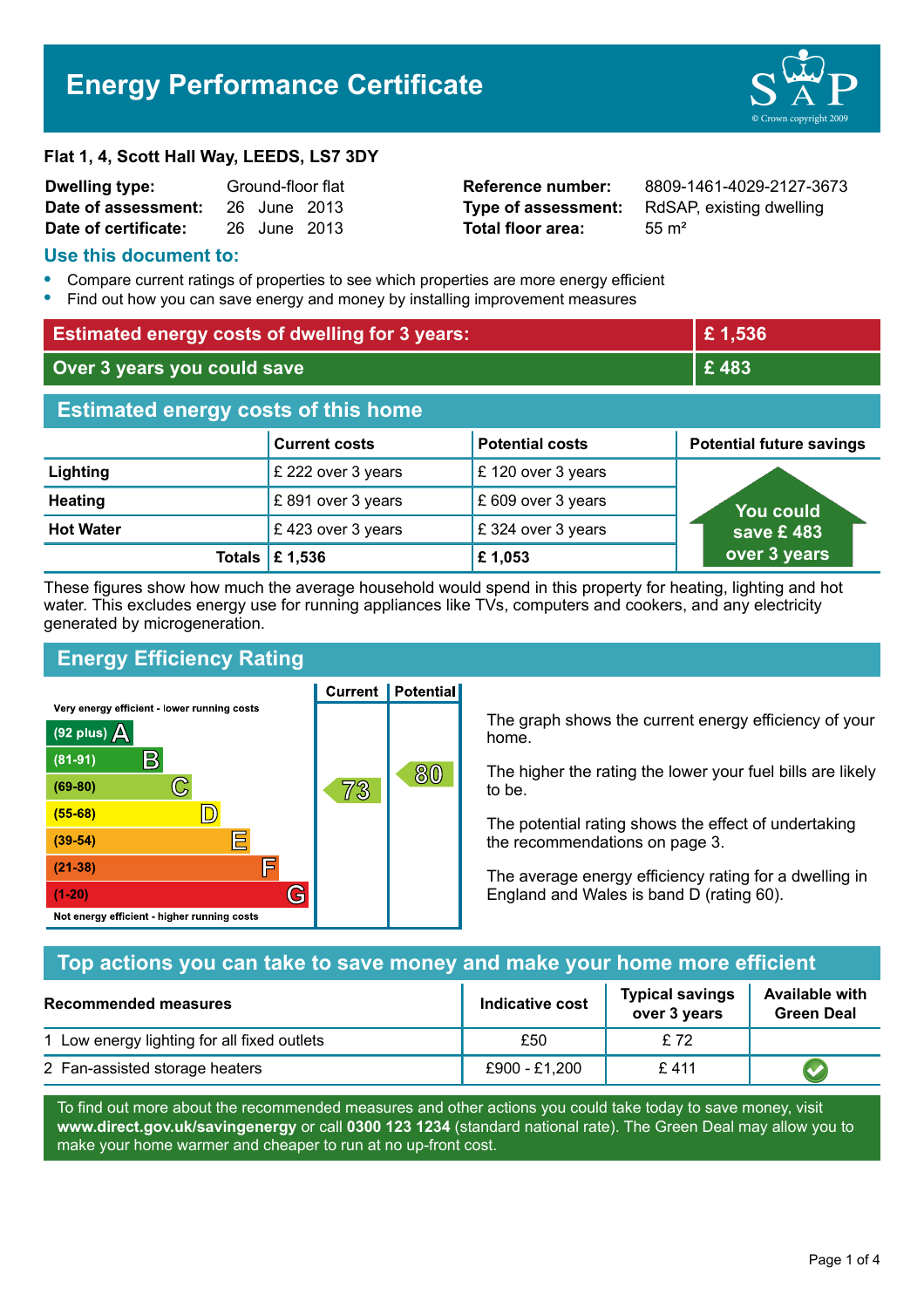# **Energy Performance Certificate**



#### **Flat 1, 4, Scott Hall Way, LEEDS, LS7 3DY**

| <b>Dwelling type:</b> | Ground-floor flat |              |  |
|-----------------------|-------------------|--------------|--|
| Date of assessment:   |                   | 26 June 2013 |  |
| Date of certificate:  |                   | 26 June 2013 |  |

**Total floor area:** 55 m<sup>2</sup>

**Reference number:** 8809-1461-4029-2127-3673 **Type of assessment:** RdSAP, existing dwelling

#### **Use this document to:**

- **•** Compare current ratings of properties to see which properties are more energy efficient
- **•** Find out how you can save energy and money by installing improvement measures

| <b>Estimated energy costs of dwelling for 3 years:</b> |                           | £1,536                 |                                 |
|--------------------------------------------------------|---------------------------|------------------------|---------------------------------|
| Over 3 years you could save                            |                           | £483                   |                                 |
| <b>Estimated energy costs of this home</b>             |                           |                        |                                 |
|                                                        | <b>Current costs</b>      | <b>Potential costs</b> | <b>Potential future savings</b> |
| Lighting                                               | £ 222 over 3 years        | £120 over 3 years      |                                 |
| <b>Heating</b>                                         | £891 over 3 years         | £ 609 over 3 years     | You could                       |
| <b>Hot Water</b>                                       | £423 over 3 years         | £ 324 over 3 years     | save £ 483 $^{\circ}$           |
|                                                        | Totals $\mathsf{E}$ 1,536 | £1,053                 | over 3 years                    |

These figures show how much the average household would spend in this property for heating, lighting and hot water. This excludes energy use for running appliances like TVs, computers and cookers, and any electricity generated by microgeneration.

# **Energy Efficiency Rating**

Very energy efficient - lower running costs



**Current | Potential** 

The graph shows the current energy efficiency of your home.

The higher the rating the lower your fuel bills are likely to be.

The potential rating shows the effect of undertaking the recommendations on page 3.

The average energy efficiency rating for a dwelling in England and Wales is band D (rating 60).

## **Top actions you can take to save money and make your home more efficient**

| Recommended measures                        | Indicative cost | <b>Typical savings</b><br>over 3 years | <b>Available with</b><br><b>Green Deal</b> |
|---------------------------------------------|-----------------|----------------------------------------|--------------------------------------------|
| 1 Low energy lighting for all fixed outlets | £50             | £72                                    |                                            |
| 2 Fan-assisted storage heaters              | £900 - £1,200   | £411                                   |                                            |

To find out more about the recommended measures and other actions you could take today to save money, visit **www.direct.gov.uk/savingenergy** or call **0300 123 1234** (standard national rate). The Green Deal may allow you to make your home warmer and cheaper to run at no up-front cost.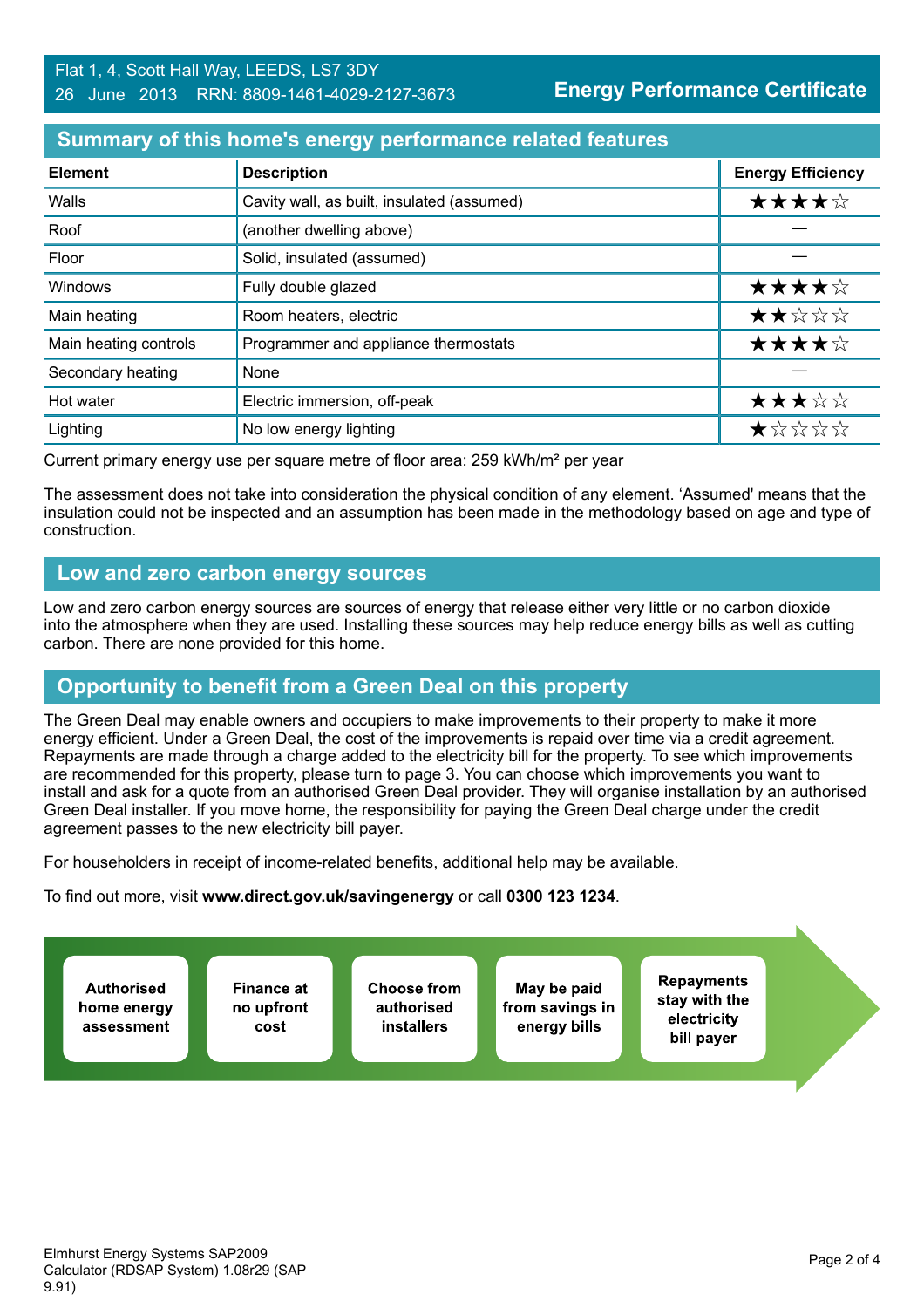## **Summary of this home's energy performance related features**

| <b>Element</b>        | <b>Description</b>                         | <b>Energy Efficiency</b> |
|-----------------------|--------------------------------------------|--------------------------|
| Walls                 | Cavity wall, as built, insulated (assumed) | ★★★★☆                    |
| Roof                  | (another dwelling above)                   |                          |
| Floor                 | Solid, insulated (assumed)                 |                          |
| Windows               | Fully double glazed                        | ★★★★☆                    |
| Main heating          | Room heaters, electric                     | ★★☆☆☆                    |
| Main heating controls | Programmer and appliance thermostats       | ★★★★☆                    |
| Secondary heating     | None                                       |                          |
| Hot water             | Electric immersion, off-peak               | ★★★☆☆                    |
| Lighting              | No low energy lighting                     | *****                    |

Current primary energy use per square metre of floor area: 259 kWh/m² per year

The assessment does not take into consideration the physical condition of any element. 'Assumed' means that the insulation could not be inspected and an assumption has been made in the methodology based on age and type of construction.

#### **Low and zero carbon energy sources**

Low and zero carbon energy sources are sources of energy that release either very little or no carbon dioxide into the atmosphere when they are used. Installing these sources may help reduce energy bills as well as cutting carbon. There are none provided for this home.

## **Opportunity to benefit from a Green Deal on this property**

The Green Deal may enable owners and occupiers to make improvements to their property to make it more energy efficient. Under a Green Deal, the cost of the improvements is repaid over time via a credit agreement. Repayments are made through a charge added to the electricity bill for the property. To see which improvements are recommended for this property, please turn to page 3. You can choose which improvements you want to install and ask for a quote from an authorised Green Deal provider. They will organise installation by an authorised Green Deal installer. If you move home, the responsibility for paying the Green Deal charge under the credit agreement passes to the new electricity bill payer.

For householders in receipt of income-related benefits, additional help may be available.

To find out more, visit **www.direct.gov.uk/savingenergy** or call **0300 123 1234**.

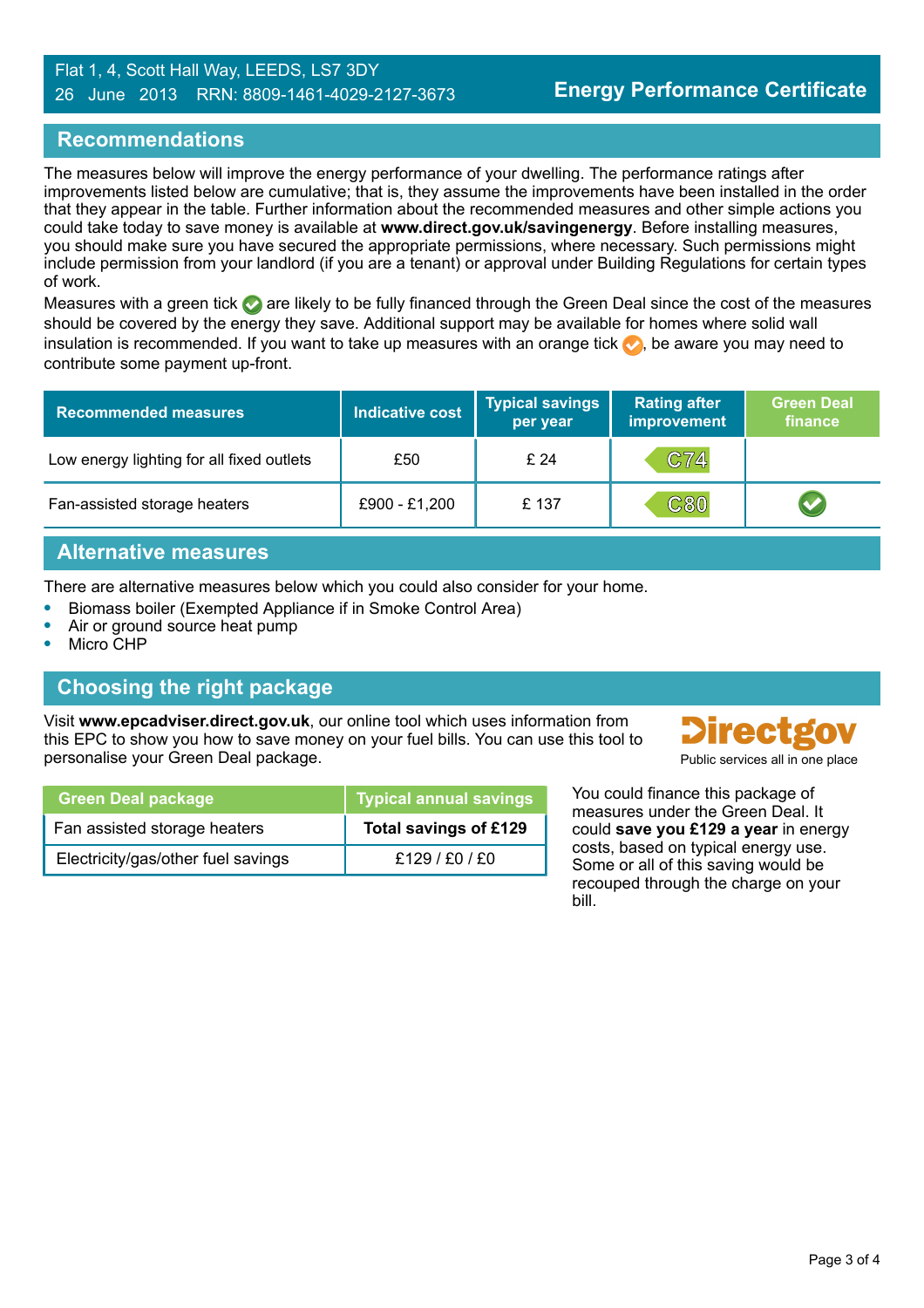#### Flat 1, 4, Scott Hall Way, LEEDS, LS7 3DY 26 June 2013 RRN: 8809-1461-4029-2127-3673

## **Recommendations**

The measures below will improve the energy performance of your dwelling. The performance ratings after improvements listed below are cumulative; that is, they assume the improvements have been installed in the order that they appear in the table. Further information about the recommended measures and other simple actions you could take today to save money is available at **www.direct.gov.uk/savingenergy**. Before installing measures, you should make sure you have secured the appropriate permissions, where necessary. Such permissions might include permission from your landlord (if you are a tenant) or approval under Building Regulations for certain types of work.

Measures with a green tick are likely to be fully financed through the Green Deal since the cost of the measures should be covered by the energy they save. Additional support may be available for homes where solid wall insulation is recommended. If you want to take up measures with an orange tick  $\bullet$ , be aware you may need to contribute some payment up-front.

| <b>Recommended measures</b>               | <b>Indicative cost</b> | <b>Typical savings</b><br>per year | <b>Rating after</b><br>improvement | <b>Green Deal</b><br>finance |
|-------------------------------------------|------------------------|------------------------------------|------------------------------------|------------------------------|
| Low energy lighting for all fixed outlets | £50                    | £24                                | C74                                |                              |
| Fan-assisted storage heaters              | £900 - £1,200          | £137                               | <b>C80</b>                         |                              |

## **Alternative measures**

There are alternative measures below which you could also consider for your home.

- **•** Biomass boiler (Exempted Appliance if in Smoke Control Area)
- **•** Air or ground source heat pump
- **•** Micro CHP

## **Choosing the right package**

Visit **www.epcadviser.direct.gov.uk**, our online tool which uses information from this EPC to show you how to save money on your fuel bills. You can use this tool to personalise your Green Deal package. Public services all in one place of the plant of the place of the place of the place of the place of the place of the place of the place of the place of the place of the place of the pl

| <b>Green Deal package</b>          | <b>Typical annual savings</b> |
|------------------------------------|-------------------------------|
| Fan assisted storage heaters       | Total savings of £129         |
| Electricity/gas/other fuel savings | £129/£0/£0                    |

**Directgov** 

You could finance this package of measures under the Green Deal. It could **save you £129 a year** in energy costs, based on typical energy use. Some or all of this saving would be recouped through the charge on your bill.